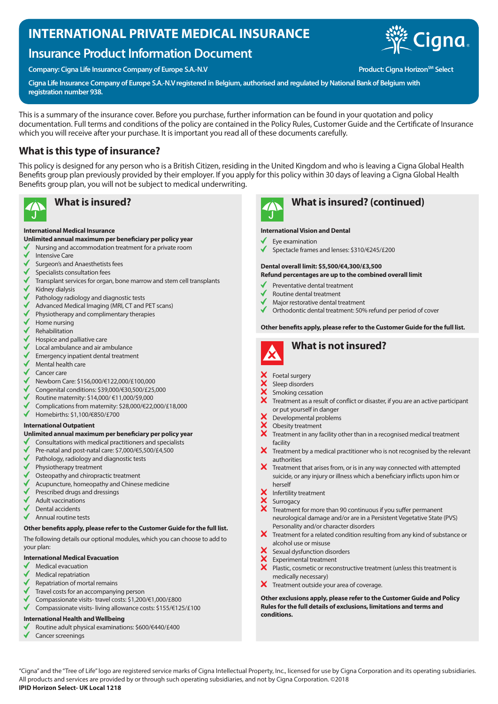## **INTERNATIONAL PRIVATE MEDICAL INSURANCE**

## **Insurance Product Information Document**

Company: Cigna Life Insurance Company of Europe S.A.-N.V **Product: Cigna Horizon<sup>SM</sup> Select** 



**Cigna Life Insurance Company of Europe S.A.-N.V registered in Belgium, authorised and regulated by National Bank of Belgium with registration number 938.**

This is a summary of the insurance cover. Before you purchase, further information can be found in your quotation and policy documentation. Full terms and conditions of the policy are contained in the Policy Rules, Customer Guide and the Certificate of Insurance which you will receive after your purchase. It is important you read all of these documents carefully.

## **What is this type of insurance?**

This policy is designed for any person who is a British Citizen, residing in the United Kingdom and who is leaving a Cigna Global Health Benefits group plan previously provided by their employer. If you apply for this policy within 30 days of leaving a Cigna Global Health Benefits group plan, you will not be subject to medical underwriting.



#### **International Medical Insurance**

### **Unlimited annual maximum per beneficiary per policy year**

- Nursing and accommodation treatment for a private room
- Intensive Care
- Surgeon's and Anaesthetists fees
- $\checkmark$ Specialists consultation fees
- Transplant services for organ, bone marrow and stem cell transplants Kidney dialysis
- 
- Pathology radiology and diagnostic tests
- Advanced Medical Imaging (MRI, CT and PET scans)
- Physiotherapy and complimentary therapies Home nursing
- 
- Rehabilitation
- Hospice and palliative care
- Local ambulance and air ambulance
- Emergency inpatient dental treatment
- Mental health care
- Cancer care
- Newborn Care: \$156,000/€122,000/£100,000
- Congenital conditions: \$39,000/€30,500/£25,000
- Routine maternity: \$14,000/ €11,000/\$9,000
- Complications from maternity: \$28,000/€22,000/£18,000
- $\checkmark$ Homebirths: \$1,100/€850/£700

#### **International Outpatient**

#### **Unlimited annual maximum per beneficiary per policy year**

- √ Consultations with medical practitioners and specialists
- Pre-natal and post-natal care: \$7,000/€5,500/£4,500
- Pathology, radiology and diagnostic tests
- Physiotherapy treatment
- Osteopathy and chiropractic treatment
- Acupuncture, homeopathy and Chinese medicine
- Prescribed drugs and dressings
- Adult vaccinations
- Dental accidents
- Annual routine tests

#### **Other benefits apply, please refer to the Customer Guide for the full list.**

The following details our optional modules, which you can choose to add to your plan:

#### **International Medical Evacuation**

- Medical evacuation
- Medical repatriation
- Repatriation of mortal remains
- Travel costs for an accompanying person
- Compassionate visits- travel costs: \$1,200/€1,000/£800
- Compassionate visits- living allowance costs: \$155/€125/£100

#### **International Health and Wellbeing**

- Routine adult physical examinations: \$600/€440/£400
- Cancer screenings

# **What is insured? What is insured? (continued)**

#### **International Vision and Dental**

- Eye examination
- Spectacle frames and lenses: \$310/€245/£200

## **Dental overall limit: \$5,500/€4,300/£3,500**

- **Refund percentages are up to the combined overall limit**
- Preventative dental treatment
- Routine dental treatment
- Major restorative dental treatment
- Orthodontic dental treatment: 50% refund per period of cover

#### **Other benefits apply, please refer to the Customer Guide for the full list.**



- Foetal surgery
- Sleep disorders
- Smoking cessation
- Treatment as a result of conflict or disaster, if you are an active participant or put yourself in danger
- Developmental problems
- XXX Obesity treatment
- Treatment in any facility other than in a recognised medical treatment facility
- $\bm{X}$  Treatment by a medical practitioner who is not recognised by the relevant authorities
- $\boldsymbol{\times}$  Treatment that arises from, or is in any way connected with attempted suicide, or any injury or illness which a beneficiary inflicts upon him or herself
- Infertility treatment
- Surrogacy
- Treatment for more than 90 continuous if you suffer permanent neurological damage and/or are in a Persistent Vegetative State (PVS) Personality and/or character disorders
- X Treatment for a related condition resulting from any kind of substance or alcohol use or misuse
- Sexual dysfunction disorders
- Experimental treatment
- $\ddot{\mathbf{x}}$ Plastic, cosmetic or reconstructive treatment (unless this treatment is medically necessary)
- X Treatment outside your area of coverage.

**Other exclusions apply, please refer to the Customer Guide and Policy Rules for the full details of exclusions, limitations and terms and conditions.**

"Cigna" and the "Tree of Life" logo are registered service marks of Cigna Intellectual Property, Inc., licensed for use by Cigna Corporation and its operating subsidiaries. All products and services are provided by or through such operating subsidiaries, and not by Cigna Corporation. ©2018 **IPID Horizon Select- UK Local 1218**